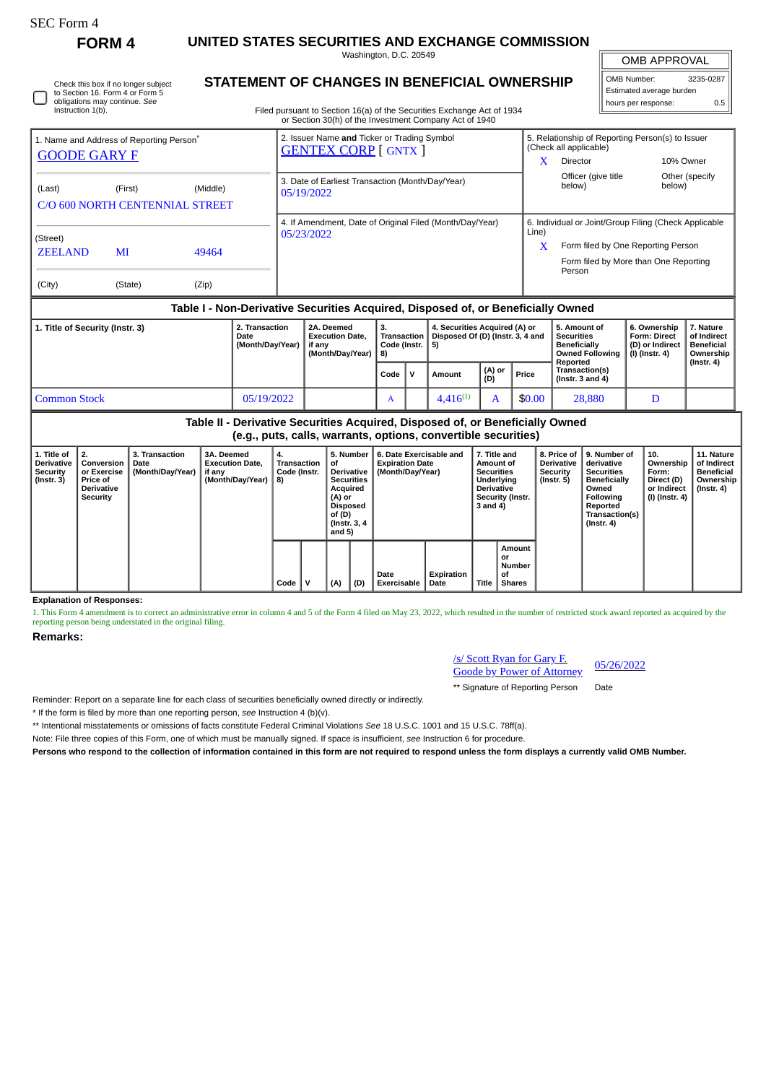| SEC Form - |
|------------|
|------------|

**FORM 4 UNITED STATES SECURITIES AND EXCHANGE COMMISSION** Washington, D.C. 20549

OMB APPROVAL

 $\mathbb{I}$ 

| OMB Number:              | 3235-0287 |
|--------------------------|-----------|
| Estimated average burden |           |
| hours per response:      | 0.5       |

Check this box if no longer subject to Section 16. Form 4 or Form 5 obligations may continue. *See* Instruction 1(b).

## **STATEMENT OF CHANGES IN BENEFICIAL OWNERSHIP**

Filed pursuant to Section 16(a) of the Securities Exchange Act of 1934 or Section 30(h) of the Investment Company Act of 1940

| 1. Name and Address of Reporting Person <sup>®</sup><br><b>GOODE GARY F</b>      |               |                                    |                                                                    | 2. Issuer Name and Ticker or Trading Symbol<br><b>GENTEX CORP [ GNTX ]</b> |  |                                                                         |  |  | X                                                                                              | 5. Relationship of Reporting Person(s) to Issuer<br>(Check all applicable)<br>Director                                                         | 10% Owner                                                                      |                |
|----------------------------------------------------------------------------------|---------------|------------------------------------|--------------------------------------------------------------------|----------------------------------------------------------------------------|--|-------------------------------------------------------------------------|--|--|------------------------------------------------------------------------------------------------|------------------------------------------------------------------------------------------------------------------------------------------------|--------------------------------------------------------------------------------|----------------|
| (Last)<br>C/O 600 NORTH CENTENNIAL STREET                                        | (First)       | (Middle)                           |                                                                    | 3. Date of Earliest Transaction (Month/Day/Year)<br>05/19/2022             |  |                                                                         |  |  |                                                                                                | Officer (give title<br>below)                                                                                                                  | below)                                                                         | Other (specify |
| (Street)<br><b>ZEELAND</b><br>(City)                                             | MI<br>(State) | 49464<br>(Zip)                     |                                                                    | 4. If Amendment, Date of Original Filed (Month/Day/Year)<br>05/23/2022     |  |                                                                         |  |  |                                                                                                | 6. Individual or Joint/Group Filing (Check Applicable<br>Form filed by One Reporting Person<br>Form filed by More than One Reporting<br>Person |                                                                                |                |
| Table I - Non-Derivative Securities Acquired, Disposed of, or Beneficially Owned |               |                                    |                                                                    |                                                                            |  |                                                                         |  |  |                                                                                                |                                                                                                                                                |                                                                                |                |
| 1. Title of Security (Instr. 3)<br>Date                                          |               | 2. Transaction<br>(Month/Day/Year) | 2A. Deemed<br><b>Execution Date.</b><br>if any<br>(Month/Dav/Year) | 3.<br>Transaction<br>Code (Instr.<br>8)                                    |  | 4. Securities Acquired (A) or<br>Disposed Of (D) (Instr. 3, 4 and<br>5) |  |  | 5. Amount of<br><b>Securities</b><br><b>Beneficially</b><br><b>Owned Following</b><br>Reported | 6. Ownership<br><b>Form: Direct</b><br>(D) or Indirect<br>(I) (Instr. 4)                                                                       | 7. Nature<br>of Indirect<br><b>Beneficial</b><br>Ownership<br>$($ Instr. 4 $)$ |                |
|                                                                                  |               |                                    |                                                                    | (A) or<br>Price<br>Code<br>v<br>Amount<br>(D)                              |  |                                                                         |  |  |                                                                                                | Transaction(s)<br>( $lnstr. 3 and 4$ )                                                                                                         |                                                                                |                |
| <b>Common Stock</b>                                                              |               |                                    | 05/19/2022                                                         | $4,416^{(1)}$<br>A<br>A                                                    |  |                                                                         |  |  | \$0.00                                                                                         | 28,880                                                                                                                                         | D                                                                              |                |

**Table II - Derivative Securities Acquired, Disposed of, or Beneficially Owned (e.g., puts, calls, warrants, options, convertible securities)**

| 1. Title of<br><b>Derivative</b><br><b>Security</b><br>$($ Instr. 3 $)$ | l 2.<br>Conversion<br>or Exercise<br><b>Price of</b><br><b>Derivative</b><br>Security | 3. Transaction<br>Date<br>(Month/Day/Year) | 3A. Deemed<br><b>Execution Date,</b><br>if any<br>(Month/Day/Year) | 4.<br>Transaction<br>Code (Instr.<br>8) |   | 5. Number<br>οf<br>Derivative  <br><b>Securities</b><br>Acquired<br>(A) or<br><b>Disposed</b><br>of (D)<br>(Instr. 3, 4)<br>and 5) |     | 6. Date Exercisable and<br><b>Expiration Date</b><br>(Month/Day/Year) |                    | 7. Title and<br>Amount of<br><b>Securities</b><br>Underlying<br><b>Derivative</b><br>Security (Instr.<br>3 and 4) |                                               | 8. Price of<br><b>Derivative</b><br>Security<br>(Instr. 5) | 9. Number of<br>derivative<br><b>Securities</b><br><b>Beneficially</b><br>Owned<br>Following<br>Reported<br>Transaction(s)<br>$($ Instr. 4 $)$ | 10.<br>Ownership<br>Form:<br>Direct (D)<br>or Indirect<br>(I) (Instr. 4) | 11. Nature<br>of Indirect<br><b>Beneficial</b><br>Ownership<br>(Instr. 4) |
|-------------------------------------------------------------------------|---------------------------------------------------------------------------------------|--------------------------------------------|--------------------------------------------------------------------|-----------------------------------------|---|------------------------------------------------------------------------------------------------------------------------------------|-----|-----------------------------------------------------------------------|--------------------|-------------------------------------------------------------------------------------------------------------------|-----------------------------------------------|------------------------------------------------------------|------------------------------------------------------------------------------------------------------------------------------------------------|--------------------------------------------------------------------------|---------------------------------------------------------------------------|
|                                                                         |                                                                                       |                                            |                                                                    | Code                                    | v | (A)                                                                                                                                | (D) | Date<br><b>Exercisable</b>                                            | Expiration<br>Date | Title                                                                                                             | Amount<br>or<br>Number<br>οf<br><b>Shares</b> |                                                            |                                                                                                                                                |                                                                          |                                                                           |

**Explanation of Responses:**

1. This Form 4 amendment is to correct an administrative error in column 4 and 5 of the Form 4 filed on May 23, 2022, which resulted in the number of restricted stock award reported as acquired by the reporting person being understated in the original filing.

## **Remarks:**

| <b>/s/ Scott Ryan for Gary F.</b> | 05/26/2022 |
|-----------------------------------|------------|
| <b>Goode by Power of Attorney</b> |            |

\*\* Signature of Reporting Person Date

Reminder: Report on a separate line for each class of securities beneficially owned directly or indirectly.

\* If the form is filed by more than one reporting person, *see* Instruction 4 (b)(v).

\*\* Intentional misstatements or omissions of facts constitute Federal Criminal Violations *See* 18 U.S.C. 1001 and 15 U.S.C. 78ff(a).

Note: File three copies of this Form, one of which must be manually signed. If space is insufficient, *see* Instruction 6 for procedure.

**Persons who respond to the collection of information contained in this form are not required to respond unless the form displays a currently valid OMB Number.**